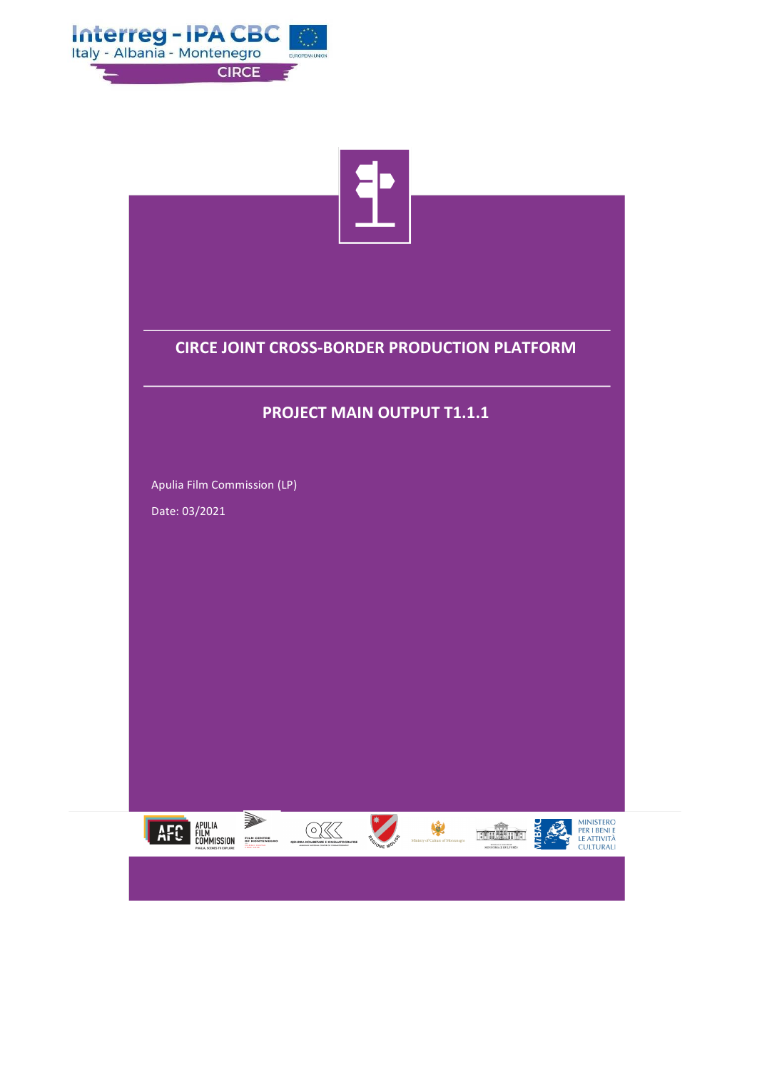